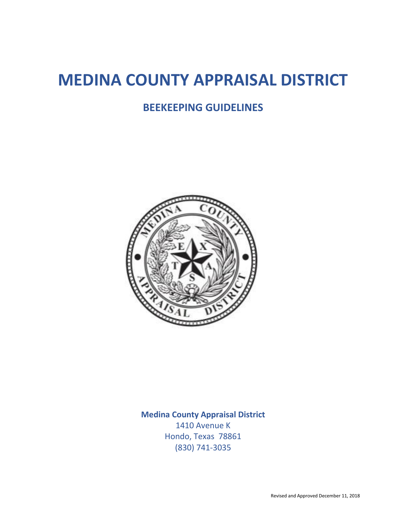# **MEDINA COUNTY APPRAISAL DISTRICT**

# **BEEKEEPING GUIDELINES**



**Medina County Appraisal District**

1410 Avenue K Hondo, Texas 78861 (830) 741-3035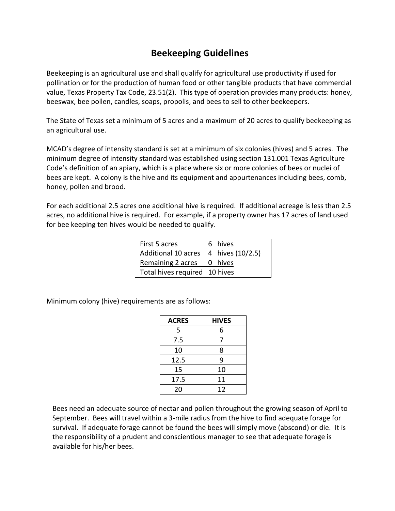# **Beekeeping Guidelines**

Beekeeping is an agricultural use and shall qualify for agricultural use productivity if used for pollination or for the production of human food or other tangible products that have commercial value, Texas Property Tax Code, 23.51(2). This type of operation provides many products: honey, beeswax, bee pollen, candles, soaps, propolis, and bees to sell to other beekeepers.

The State of Texas set a minimum of 5 acres and a maximum of 20 acres to qualify beekeeping as an agricultural use.

MCAD's degree of intensity standard is set at a minimum of six colonies (hives) and 5 acres. The minimum degree of intensity standard was established using section 131.001 Texas Agriculture Code's definition of an apiary, which is a place where six or more colonies of bees or nuclei of bees are kept. A colony is the hive and its equipment and appurtenances including bees, comb, honey, pollen and brood.

For each additional 2.5 acres one additional hive is required. If additional acreage is less than 2.5 acres, no additional hive is required. For example, if a property owner has 17 acres of land used for bee keeping ten hives would be needed to qualify.

| First 5 acres                        | 6 hives |  |
|--------------------------------------|---------|--|
| Additional 10 acres 4 hives (10/2.5) |         |  |
| Remaining 2 acres 0 hives            |         |  |
| Total hives required 10 hives        |         |  |
|                                      |         |  |

Minimum colony (hive) requirements are as follows:

| <b>ACRES</b> | <b>HIVES</b> |
|--------------|--------------|
| 5            | 6            |
| 7.5          | 7            |
| 10           | 8            |
| 12.5         | 9            |
| 15           | 10           |
| 17.5         | 11           |
| 20           | 12           |

Bees need an adequate source of nectar and pollen throughout the growing season of April to September. Bees will travel within a 3-mile radius from the hive to find adequate forage for survival. If adequate forage cannot be found the bees will simply move (abscond) or die. It is the responsibility of a prudent and conscientious manager to see that adequate forage is available for his/her bees.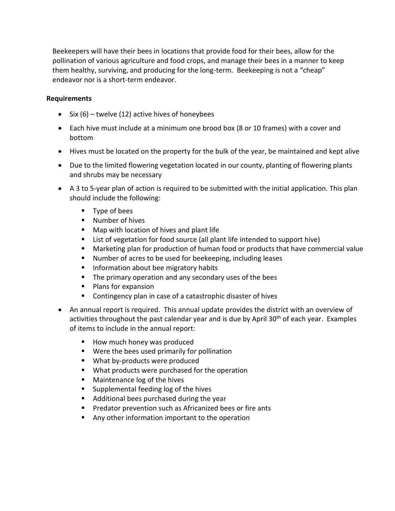Beekeepers will have their bees in locations that provide food for their bees, allow for the pollination of various agriculture and food crops, and manage their bees in a manner to keep them healthy, surviving, and producing for the long-term. Beekeeping is not a "cheap" endeavor nor is a short-term endeavor.

## **Requirements**

- Six  $(6)$  twelve (12) active hives of honeybees
- Each hive must include at a minimum one brood box (8 or 10 frames) with a cover and bottom
- Hives must be located on the property for the bulk of the year, be maintained and kept alive
- Due to the limited flowering vegetation located in our county, planting of flowering plants and shrubs may be necessary
- A 3 to 5-year plan of action is required to be submitted with the initial application. This plan should include the following:
	- Type of bees
	- Number of hives
	- Map with location of hives and plant life
	- List of vegetation for food source (all plant life intended to support hive)
	- Marketing plan for production of human food or products that have commercial value
	- Number of acres to be used for beekeeping, including leases
	- Information about bee migratory habits
	- The primary operation and any secondary uses of the bees
	- Plans for expansion
	- Contingency plan in case of a catastrophic disaster of hives
- An annual report is required. This annual update provides the district with an overview of activities throughout the past calendar year and is due by April 30<sup>th</sup> of each year. Examples of items to include in the annual report:
	- How much honey was produced
	- Were the bees used primarily for pollination
	- What by-products were produced
	- What products were purchased for the operation
	- Maintenance log of the hives
	- Supplemental feeding log of the hives
	- Additional bees purchased during the year
	- Predator prevention such as Africanized bees or fire ants
	- Any other information important to the operation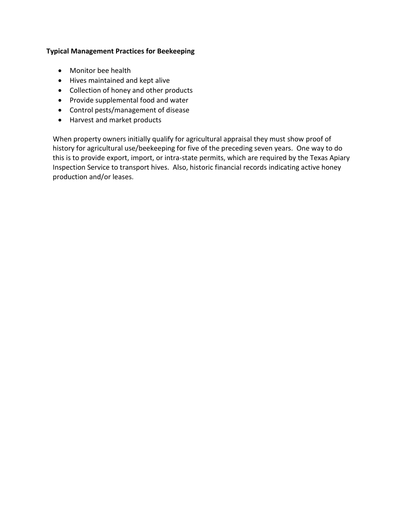## **Typical Management Practices for Beekeeping**

- Monitor bee health
- Hives maintained and kept alive
- Collection of honey and other products
- Provide supplemental food and water
- Control pests/management of disease
- Harvest and market products

When property owners initially qualify for agricultural appraisal they must show proof of history for agricultural use/beekeeping for five of the preceding seven years. One way to do this is to provide export, import, or intra-state permits, which are required by the Texas Apiary Inspection Service to transport hives. Also, historic financial records indicating active honey production and/or leases.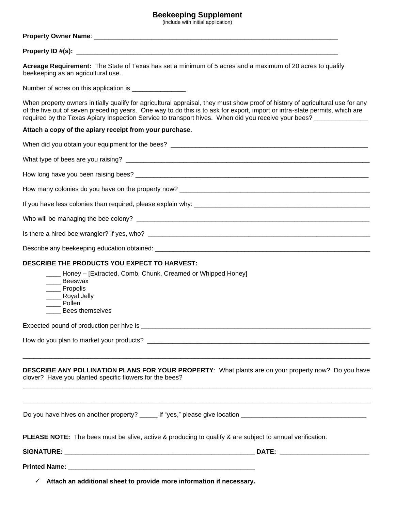### **Beekeeping Supplement**

(include with initial application)

#### **Property Owner Name**: \_\_\_\_\_\_\_\_\_\_\_\_\_\_\_\_\_\_\_\_\_\_\_\_\_\_\_\_\_\_\_\_\_\_\_\_\_\_\_\_\_\_\_\_\_\_\_\_\_\_\_\_\_\_\_\_\_\_\_\_\_\_\_\_\_\_\_\_

#### **Property ID #(s):** \_\_\_\_\_\_\_\_\_\_\_\_\_\_\_\_\_\_\_\_\_\_\_\_\_\_\_\_\_\_\_\_\_\_\_\_\_\_\_\_\_\_\_\_\_\_\_\_\_\_\_\_\_\_\_\_\_\_\_\_\_\_\_\_\_\_\_\_\_\_\_\_\_

**Acreage Requirement:** The State of Texas has set a minimum of 5 acres and a maximum of 20 acres to qualify beekeeping as an agricultural use.

Number of acres on this application is \_\_\_\_\_\_\_\_\_\_\_\_\_\_

When property owners initially qualify for agricultural appraisal, they must show proof of history of agricultural use for any of the five out of seven preceding years. One way to do this is to ask for export, import or intra-state permits, which are required by the Texas Apiary Inspection Service to transport hives. When did you receive your bees? \_\_\_\_\_\_\_\_\_\_

#### **Attach a copy of the apiary receipt from your purchase.**

| DESCRIBE THE PRODUCTS YOU EXPECT TO HARVEST:                                                                                                                   |
|----------------------------------------------------------------------------------------------------------------------------------------------------------------|
| ___ Honey – [Extracted, Comb, Chunk, Creamed or Whipped Honey]<br>__ Beeswax<br>____ Propolis<br>___ Royal Jelly<br>Pollen<br><b>Bees themselves</b>           |
|                                                                                                                                                                |
|                                                                                                                                                                |
| DESCRIBE ANY POLLINATION PLANS FOR YOUR PROPERTY: What plants are on your property now? Do you have<br>clover? Have you planted specific flowers for the bees? |
| Do you have hives on another property? _____ If "yes," please give location __________________________________                                                 |
| <b>PLEASE NOTE:</b> The bees must be alive, active & producing to qualify & are subject to annual verification.                                                |
|                                                                                                                                                                |
|                                                                                                                                                                |
| Attach an additional sheet to provide more information if necessary.<br>$\checkmark$                                                                           |